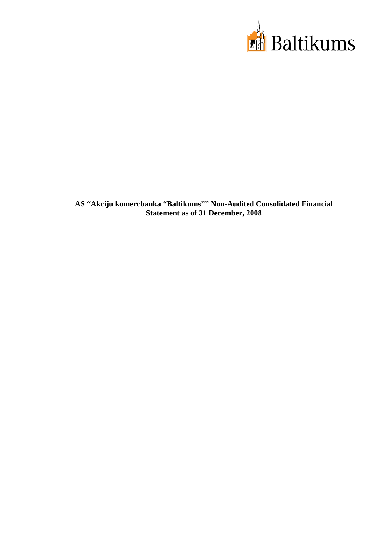

**AS "Akciju komercbanka "Baltikums"" Non-Audited Consolidated Financial Statement as of 31 December, 2008**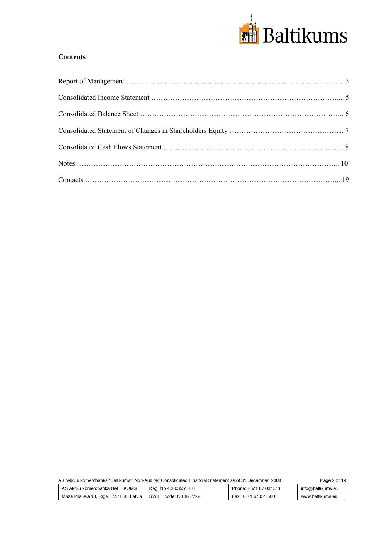

# **Contents**

AS "Akciju komercbanka "Baltikums"" Non-Audited Consolidated Financial Statement as of 31 December, 2008 Page 2 of 19 AS Akciju komercbanka BALTIKUMS Maza Pils iela 13, Riga, LV-1050, Latvia SWIFT code: CBBRLV22 Reg. No 40003551060 Phone: +371 67 031311 Fax: +371 67031 300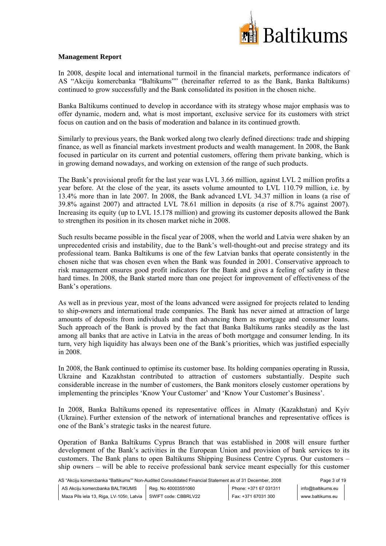

# **Management Report**

In 2008, despite local and international turmoil in the financial markets, performance indicators of AS "Akciju komercbanka "Baltikums"" (hereinafter referred to as the Bank, Banka Baltikums) continued to grow successfully and the Bank consolidated its position in the chosen niche.

Banka Baltikums continued to develop in accordance with its strategy whose major emphasis was to offer dynamic, modern and, what is most important, exclusive service for its customers with strict focus on caution and on the basis of moderation and balance in its continued growth.

Similarly to previous years, the Bank worked along two clearly defined directions: trade and shipping finance, as well as financial markets investment products and wealth management. In 2008, the Bank focused in particular on its current and potential customers, offering them private banking, which is in growing demand nowadays, and working on extension of the range of such products.

The Bank's provisional profit for the last year was LVL 3.66 million, against LVL 2 million profits a year before. At the close of the year, its assets volume amounted to LVL 110.79 million, i.e. by 13.4% more than in late 2007. In 2008, the Bank advanced LVL 34.37 million in loans (a rise of 39.8% against 2007) and attracted LVL 78.61 million in deposits (a rise of 8.7% against 2007). Increasing its equity (up to LVL 15.178 million) and growing its customer deposits allowed the Bank to strengthen its position in its chosen market niche in 2008.

Such results became possible in the fiscal year of 2008, when the world and Latvia were shaken by an unprecedented crisis and instability, due to the Bank's well-thought-out and precise strategy and its professional team. Banka Baltikums is one of the few Latvian banks that operate consistently in the chosen niche that was chosen even when the Bank was founded in 2001. Conservative approach to risk management ensures good profit indicators for the Bank and gives a feeling of safety in these hard times. In 2008, the Bank started more than one project for improvement of effectiveness of the Bank's operations.

As well as in previous year, most of the loans advanced were assigned for projects related to lending to ship-owners and international trade companies. The Bank has never aimed at attraction of large amounts of deposits from individuals and then advancing them as mortgage and consumer loans. Such approach of the Bank is proved by the fact that Banka Baltikums ranks steadily as the last among all banks that are active in Latvia in the areas of both mortgage and consumer lending. In its turn, very high liquidity has always been one of the Bank's priorities, which was justified especially in 2008.

In 2008, the Bank continued to optimise its customer base. Its holding companies operating in Russia, Ukraine and Kazakhstan contributed to attraction of customers substantially. Despite such considerable increase in the number of customers, the Bank monitors closely customer operations by implementing the principles 'Know Your Customer' and 'Know Your Customer's Business'.

In 2008, Banka Baltikums opened its representative offices in Almaty (Kazakhstan) and Kyiv (Ukraine). Further extension of the network of international branches and representative offices is one of the Bank's strategic tasks in the nearest future.

Operation of Banka Baltikums Cyprus Branch that was established in 2008 will ensure further development of the Bank's activities in the European Union and provision of bank services to its customers. The Bank plans to open Baltikums Shipping Business Centre Cyprus. Our customers – ship owners – will be able to receive professional bank service meant especially for this customer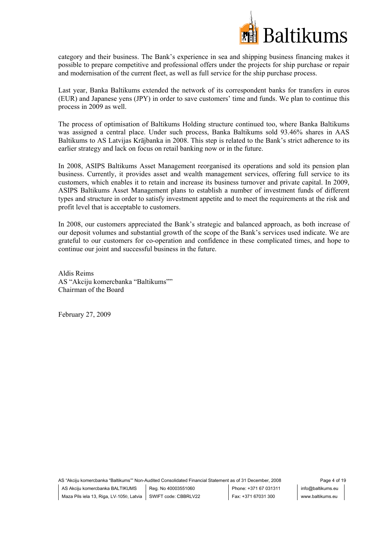

category and their business. The Bank's experience in sea and shipping business financing makes it possible to prepare competitive and professional offers under the projects for ship purchase or repair and modernisation of the current fleet, as well as full service for the ship purchase process.

Last year, Banka Baltikums extended the network of its correspondent banks for transfers in euros (EUR) and Japanese yens (JPY) in order to save customers' time and funds. We plan to continue this process in 2009 as well.

The process of optimisation of Baltikums Holding structure continued too, where Banka Baltikums was assigned a central place. Under such process, Banka Baltikums sold 93.46% shares in AAS Baltikums to AS Latvijas Krājbanka in 2008. This step is related to the Bank's strict adherence to its earlier strategy and lack on focus on retail banking now or in the future.

In 2008, ASIPS Baltikums Asset Management reorganised its operations and sold its pension plan business. Currently, it provides asset and wealth management services, offering full service to its customers, which enables it to retain and increase its business turnover and private capital. In 2009, ASIPS Baltikums Asset Management plans to establish a number of investment funds of different types and structure in order to satisfy investment appetite and to meet the requirements at the risk and profit level that is acceptable to customers.

In 2008, our customers appreciated the Bank's strategic and balanced approach, as both increase of our deposit volumes and substantial growth of the scope of the Bank's services used indicate. We are grateful to our customers for co-operation and confidence in these complicated times, and hope to continue our joint and successful business in the future.

Aldis Reims AS "Akciju komercbanka "Baltikums"" Chairman of the Board

February 27, 2009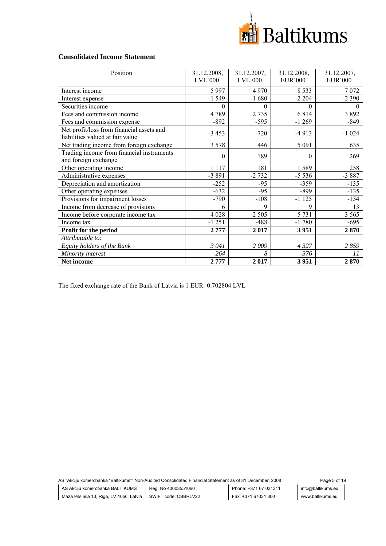

## **Consolidated Income Statement**

| Position                                                                      | 31.12.2008,    | 31.12.2007, | 31.12.2008,    | 31.12.2007,     |
|-------------------------------------------------------------------------------|----------------|-------------|----------------|-----------------|
|                                                                               | $LVL$ 000      | $LVL$ 000   | <b>EUR'000</b> | <b>EUR</b> '000 |
| Interest income                                                               | 5 9 9 7        | 4970        | 8 5 3 3        | 7072            |
| Interest expense                                                              | $-1549$        | $-1680$     | $-2204$        | $-2390$         |
| Securities income                                                             | $\theta$       | $\Omega$    | $\Omega$       | $\Omega$        |
| Fees and commission income                                                    | 4789           | 2735        | 6814           | 3892            |
| Fees and commission expense                                                   | -892           | $-595$      | $-1269$        | -849            |
| Net profit/loss from financial assets and<br>liabilities valued at fair value | $-3453$        | $-720$      | $-4913$        | $-1024$         |
| Net trading income from foreign exchange                                      | 3 5 7 8        | 446         | 5 0 9 1        | 635             |
| Trading income from financial instruments<br>and foreign exchange             | $\overline{0}$ | 189         | $\theta$       | 269             |
| Other operating income                                                        | 1 1 1 7        | 181         | 1589           | 258             |
| Administrative expenses                                                       | $-3891$        | $-2732$     | $-5536$        | $-3887$         |
| Depreciation and amortization                                                 | $-252$         | $-95$       | $-359$         | $-135$          |
| Other operating expenses                                                      | $-632$         | $-95$       | $-899$         | $-135$          |
| Provisions for impairment losses                                              | $-790$         | $-108$      | $-1125$        | $-154$          |
| Income from decrease of provisions                                            | 6              | 9           | 9              | 13              |
| Income before corporate income tax                                            | 4 0 28         | 2 5 0 5     | 5 7 3 1        | 3 5 6 5         |
| Income tax                                                                    | -1 251         | $-488$      | $-1780$        | $-695$          |
| Profit for the period                                                         | 2777           | 2017        | 3951           | 2870            |
| Attributable to:                                                              |                |             |                |                 |
| Equity holders of the Bank                                                    | 3041           | 2009        | 4327           | 2859            |
| Minority interest                                                             | $-264$         | 8           | -376           | 11              |
| Net income                                                                    | 2777           | 2017        | 3951           | 2870            |

The fixed exchange rate of the Bank of Latvia is 1 EUR=0.702804 LVL

AS "Akciju komercbanka "Baltikums"" Non-Audited Consolidated Financial Statement as of 31 December, 2008 Page 5 of 19 AS Akciju komercbanka BALTIKUMS Reg. No 40003551060 Maza Pils iela 13, Riga, LV-1050, Latvia SWIFT code: CBBRLV22 Phone: +371 67 031311 Fax: +371 67031 300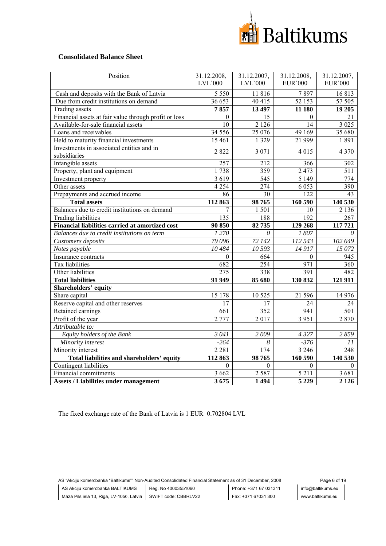

## **Consolidated Balance Sheet**

| Position                                                  | 31.12.2008,      | 31.12.2007, | 31.12.2008,        | 31.12.2007,     |
|-----------------------------------------------------------|------------------|-------------|--------------------|-----------------|
|                                                           | $LVL$ 000        | $LVL$ 000   | <b>EUR</b> '000    | <b>EUR</b> '000 |
| Cash and deposits with the Bank of Latvia                 | 5 5 5 0          | 11816       | 7897               | 16813           |
| Due from credit institutions on demand                    | 36 653           | 40 415      | 52 153             | 57 505          |
| <b>Trading assets</b>                                     | 7857             | 13 497      | 11 180             | 19 20 5         |
| Financial assets at fair value through profit or loss     | $\theta$         | 15          | $\Omega$           | 21              |
| Available-for-sale financial assets                       | 10               | 2 1 2 6     | 14                 | 3 0 2 5         |
| Loans and receivables                                     | 34 5 5 6         | 25 076      | 49 169             | 35 680          |
| Held to maturity financial investments                    | 15 4 61          | 1 3 2 9     | 21 999             | 1891            |
| Investments in associated entities and in<br>subsidiaries | 2822             | 3 0 7 1     | 4 0 1 5            | 4 3 7 0         |
| Intangible assets                                         | 257              | 212         | 366                | 302             |
| Property, plant and equipment                             | 1738             | 359         | 2 4 7 3            | 511             |
| Investment property                                       | 3619             | 545         | 5 1 4 9            | 774             |
| Other assets                                              | 4 2 5 4          | 274         | 6 0 5 3            | 390             |
| Prepayments and accrued income                            | 86               | 30          | 122                | 43              |
| <b>Total assets</b>                                       | 112863           | 98765       | 160 590            | 140 530         |
| Balances due to credit institutions on demand             | 7                | 1501        | 10                 | 2 1 3 6         |
| <b>Trading liabilities</b>                                | 135              | 188         | 192                | 267             |
| Financial liabilities carried at amortized cost           | 90 850           | 82735       | 129 268            | 117721          |
| Balances due to credit institutions on term               | 1270             | $\theta$    | 1807               | 0               |
| Customers deposits                                        | 79 096           | 72 142      | 112 543            | 102 649         |
| Notes payable                                             | 10484            | 10 593      | 14917              | 15 072          |
| Insurance contracts                                       | $\theta$         | 664         | $\theta$           | 945             |
| Tax liabilities                                           | 682              | 254         | 971                | 360             |
| Other liabilities                                         | $\overline{275}$ | 338         | 391                | 482             |
| <b>Total liabilities</b>                                  | 91 949           | 85 680      | 130 832            | 121 911         |
| Shareholders' equity                                      |                  |             |                    |                 |
| Share capital                                             | 15 178           | 10 5 25     | 21 596             | 14 976          |
| Reserve capital and other reserves                        | 17               | 17          | 24                 | 24              |
| Retained earnings                                         | 661              | 352         | 941                | 501             |
| Profit of the year                                        | 2 7 7 7          | 2017        | $\overline{3}$ 951 | 2870            |
| Attributable to:                                          |                  |             |                    |                 |
| Equity holders of the Bank                                | 3041             | 2009        | 4327               | 2859            |
| Minority interest                                         | $-264$           | 8           | $-376$             | 11              |
| Minority interest                                         | 2 2 8 1          | 174         | 3 2 4 6            | 248             |
| Total liabilities and shareholders' equity                | 112 863          | 98765       | 160 590            | 140 530         |
| Contingent liabilities                                    | $\theta$         | $\theta$    | $\theta$           | $\theta$        |
| Financial commitments                                     | 3 6 6 2          | 2 5 8 7     | 5 2 1 1            | 3681            |
| <b>Assets / Liabilities under management</b>              | 3675             | 1494        | 5 2 2 9            | 2 1 2 6         |

The fixed exchange rate of the Bank of Latvia is 1 EUR=0.702804 LVL

AS "Akciju komercbanka "Baltikums"" Non-Audited Consolidated Financial Statement as of 31 December, 2008 Page 6 of 19 AS Akciju komercbanka BALTIKUMS Reg. No 40003551060 Maza Pils iela 13, Riga, LV-1050, Latvia SWIFT code: CBBRLV22 Phone: +371 67 031311 Fax: +371 67031 300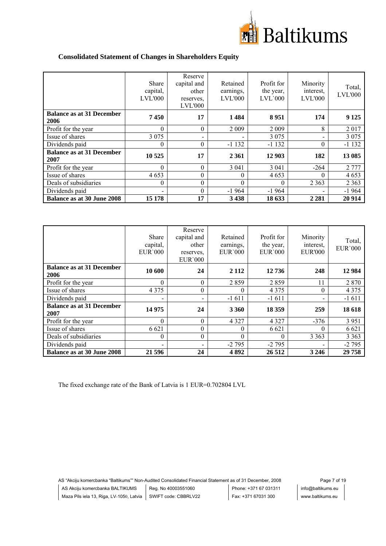

# **Consolidated Statement of Changes in Shareholders Equity**

|                                          | <b>Share</b><br>capital,<br><b>LVL'000</b> | Reserve<br>capital and<br>other<br>reserves,<br><b>LVL'000</b> | Retained<br>earnings,<br><b>LVL'000</b> | Profit for<br>the year,<br>$LVL$ 000 | Minority<br>interest.<br>LVL'000 | Total,<br><b>LVL'000</b> |
|------------------------------------------|--------------------------------------------|----------------------------------------------------------------|-----------------------------------------|--------------------------------------|----------------------------------|--------------------------|
| <b>Balance as at 31 December</b><br>2006 | 7450                                       | 17                                                             | 1484                                    | 8951                                 | 174                              | 9 1 25                   |
| Profit for the year                      | $\Omega$                                   | $\Omega$                                                       | 2 0 0 9                                 | 2 0 0 9                              | 8                                | 2017                     |
| Issue of shares                          | 3 0 7 5                                    |                                                                |                                         | 3 0 7 5                              |                                  | 3 0 7 5                  |
| Dividends paid                           | 0                                          | $\Omega$                                                       | $-1132$                                 | $-1132$                              | 0                                | $-1132$                  |
| <b>Balance as at 31 December</b><br>2007 | 10 525                                     | 17                                                             | 2 3 6 1                                 | 12 903                               | 182                              | 13 085                   |
| Profit for the year                      | $\Omega$                                   | $\Omega$                                                       | 3 0 4 1                                 | 3 0 4 1                              | $-264$                           | 2 7 7 7                  |
| Issue of shares                          | 4653                                       | 0                                                              | $\theta$                                | 4653                                 |                                  | 4653                     |
| Deals of subsidiaries                    | 0                                          | $\theta$                                                       | $\theta$                                | $\theta$                             | 2 3 6 3                          | 2 3 6 3                  |
| Dividends paid                           |                                            | $\Omega$                                                       | $-1964$                                 | $-1964$                              |                                  | $-1964$                  |
| <b>Balance as at 30 June 2008</b>        | 15 178                                     | 17                                                             | 3 4 3 8                                 | 18 633                               | 2 2 8 1                          | 20 9 14                  |

|                                          | <b>Share</b><br>capital,<br><b>EUR'000</b> | Reserve<br>capital and<br>other<br>reserves,<br><b>EUR</b> '000 | Retained<br>earnings,<br><b>EUR'000</b> | Profit for<br>the year,<br><b>EUR</b> '000 | Minority<br>interest,<br><b>EUR'000</b> | Total,<br><b>EUR</b> '000 |
|------------------------------------------|--------------------------------------------|-----------------------------------------------------------------|-----------------------------------------|--------------------------------------------|-----------------------------------------|---------------------------|
| <b>Balance as at 31 December</b><br>2006 | 10 600                                     | 24                                                              | 2 1 1 2                                 | 12736                                      | 248                                     | 12 9 84                   |
| Profit for the year                      | $\theta$                                   | $\Omega$                                                        | 2859                                    | 2859                                       | 11                                      | 2 8 7 0                   |
| Issue of shares                          | 4 3 7 5                                    | $\theta$                                                        | $\theta$                                | 4 3 7 5                                    | $\Omega$                                | 4 3 7 5                   |
| Dividends paid                           |                                            |                                                                 | $-1611$                                 | $-1611$                                    |                                         | $-1611$                   |
| <b>Balance as at 31 December</b><br>2007 | 14 975                                     | 24                                                              | 3 3 6 0                                 | 18 3 59                                    | 259                                     | 18 618                    |
| Profit for the year                      | $\theta$                                   | $\Omega$                                                        | 4 3 2 7                                 | 4 3 2 7                                    | $-376$                                  | 3 9 5 1                   |
| Issue of shares                          | 6 6 2 1                                    | 0                                                               | $\theta$                                | 6 6 2 1                                    | $\theta$                                | 6 6 21                    |
| Deals of subsidiaries                    | 0                                          | $\theta$                                                        | $\theta$                                | $\Omega$                                   | 3 3 6 3                                 | 3 3 6 3                   |
| Dividends paid                           |                                            |                                                                 | $-2795$                                 | $-2795$                                    |                                         | $-2795$                   |
| <b>Balance as at 30 June 2008</b>        | 21 59 6                                    | 24                                                              | 4892                                    | 26 512                                     | 3 2 4 6                                 | 29 758                    |

The fixed exchange rate of the Bank of Latvia is 1 EUR=0.702804 LVL

AS "Akciju komercbanka "Baltikums"" Non-Audited Consolidated Financial Statement as of 31 December, 2008 Page 7 of 19 AS Akciju komercbanka BALTIKUMS Reg. No 40003551060 Maza Pils iela 13, Riga, LV-1050, Latvia SWIFT code: CBBRLV22 Phone: +371 67 031311 Fax: +371 67031 300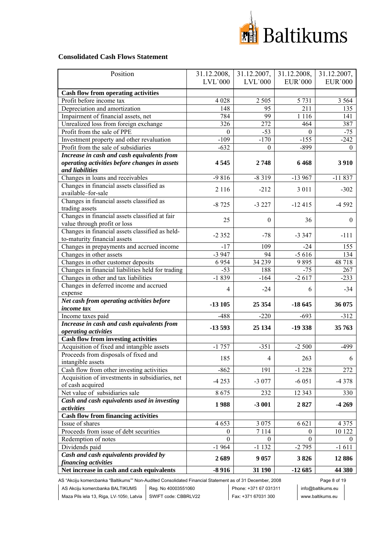

## **Consolidated Cash Flows Statement**

| Position                                          | 31.12.2008, | 31.12.2007,    | 31.12.2008,     | 31.12.2007,    |
|---------------------------------------------------|-------------|----------------|-----------------|----------------|
|                                                   | $LVL$ `000  | $LVL$ `000     | <b>EUR</b> '000 | <b>EUR'000</b> |
|                                                   |             |                |                 |                |
| <b>Cash flow from operating activities</b>        |             |                |                 |                |
| Profit before income tax                          | 4 0 28      | 2 5 0 5        | 5 7 3 1         | 3 5 6 4        |
| Depreciation and amortization                     | 148         | 95             | 211             | 135            |
| Impairment of financial assets, net               | 784         | 99             | 1 1 1 6         | 141            |
| Unrealized loss from foreign exchange             | 326         | 272            | 464             | 387            |
| Profit from the sale of PPE                       | $\theta$    | $-53$          | $\Omega$        | $-75$          |
| Investment property and other revaluation         | $-109$      | $-170$         | $-155$          | $-242$         |
| Profit from the sale of subsidiaries              | $-632$      | $\Omega$       | $-899$          | $\Omega$       |
| Increase in cash and cash equivalents from        |             |                |                 |                |
| operating activities before changes in assets     | 4545        | 2748           | 6468            | 3910           |
| and liabilities                                   |             |                |                 |                |
| Changes in loans and receivables                  | $-9816$     | $-8319$        | $-13967$        | $-11837$       |
| Changes in financial assets classified as         | 2 1 1 6     | $-212$         | 3 0 1 1         | $-302$         |
| available-for-sale                                |             |                |                 |                |
| Changes in financial assets classified as         | $-8725$     | $-3227$        | $-12415$        | $-4592$        |
| trading assets                                    |             |                |                 |                |
| Changes in financial assets classified at fair    | 25          | $\mathbf{0}$   | 36              | $\overline{0}$ |
| value through profit or loss                      |             |                |                 |                |
| Changes in financial assets classified as held-   | $-2352$     | $-78$          | $-3347$         | $-111$         |
| to-maturity financial assets                      |             |                |                 |                |
| Changes in prepayments and accrued income         | $-17$       | 109            | $-24$           | 155            |
| Changes in other assets                           | $-3947$     | 94             | $-5616$         | 134            |
| Changes in other customer deposits                | 6954        | 34 239         | 9895            | 48718          |
| Changes in financial liabilities held for trading | $-53$       | 188            | $-75$           | 267            |
| Changes in other and tax liabilities              | $-1839$     | $-164$         | $-2617$         | $-233$         |
| Changes in deferred income and accrued            |             |                |                 |                |
| expense                                           | 4           | $-24$          | 6               | $-34$          |
| Net cash from operating activities before         |             |                |                 |                |
| income tax                                        | $-13105$    | 25 354         | $-18645$        | 36 075         |
| Income taxes paid                                 | $-488$      | $-220$         | $-693$          | $-312$         |
| Increase in cash and cash equivalents from        | $-13593$    |                |                 |                |
| operating activities                              |             | 25 134         | $-19338$        | 35 763         |
| <b>Cash flow from investing activities</b>        |             |                |                 |                |
| Acquisition of fixed and intangible assets        | $-1757$     | $-351$         | $-2500$         | $-499$         |
| Proceeds from disposals of fixed and              |             |                |                 |                |
| intangible assets                                 | 185         | $\overline{4}$ | 263             | 6              |
| Cash flow from other investing activities         | $-862$      | 191            | $-1228$         | 272            |
| Acquisition of investments in subsidiaries, net   |             |                |                 |                |
| of cash acquired                                  | $-4253$     | $-3077$        | $-6051$         | $-4378$        |
| Net value of subsidiaries sale                    | 8675        | 232            | 12 3 43         | 330            |
| Cash and cash equivalents used in investing       |             |                |                 |                |
| activities                                        | 1988        | $-3001$        | 2827            | $-4269$        |
| <b>Cash flow from financing activities</b>        |             |                |                 |                |
| Issue of shares                                   | 4653        | 3 0 7 5        | 6 6 21          | 4 3 7 5        |
| Proceeds from issue of debt securities            | $\theta$    | 7114           | 0               | 10 122         |
| Redemption of notes                               | $\theta$    | $\theta$       | $\Omega$        | $\theta$       |
| Dividends paid                                    | $-1964$     | $-1132$        | $-2795$         | $-1611$        |
| Cash and cash equivalents provided by             |             |                |                 |                |
| financing activities                              | 2689        | 9 0 5 7        | 3826            | 12886          |
| Net increase in cash and cash equivalents         | $-8916$     | 31 190         | $-12685$        | 44 380         |

AS "Akciju komercbanka "Baltikums"" Non-Audited Consolidated Financial Statement as of 31 December, 2008 Page 8 of 19

AS Akciju komercbanka BALTIKUMS Reg. No 40003551060

Phone: +371 67 031311 Fax: +371 67031 300

info@baltikums.eu www.baltikums.eu

Maza Pils iela 13, Riga, LV-1050, Latvia SWIFT code: CBBRLV22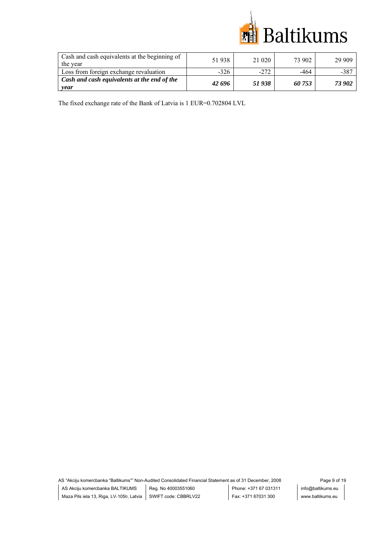

| Cash and cash equivalents at the beginning of<br>the year | 51938  | 21 020 | 73 902 | 29 909 |
|-----------------------------------------------------------|--------|--------|--------|--------|
| Loss from foreign exchange revaluation                    | $-326$ | $-272$ | -464   | $-387$ |
| Cash and cash equivalents at the end of the<br>year       | 42696  | 51938  | 60 753 | 73 902 |

The fixed exchange rate of the Bank of Latvia is 1 EUR=0.702804 LVL

AS "Akciju komercbanka "Baltikums"" Non-Audited Consolidated Financial Statement as of 31 December, 2008 Page 9 of 19 AS Akciju komercbanka BALTIKUMS Maza Pils iela 13, Riga, LV-1050, Latvia SWIFT code: CBBRLV22 Reg. No 40003551060 Phone: +371 67 031311 Fax: +371 67031 300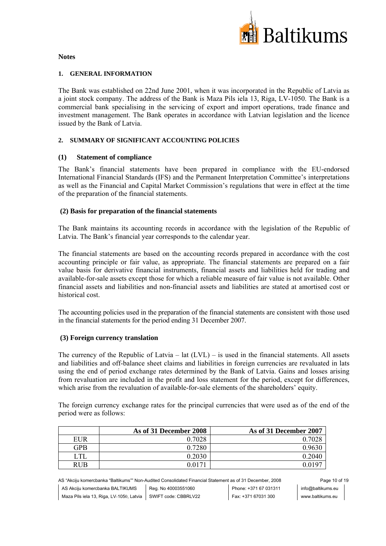

#### **Notes**

## **1. GENERAL INFORMATION**

The Bank was established on 22nd June 2001, when it was incorporated in the Republic of Latvia as a joint stock company. The address of the Bank is Maza Pils iela 13, Riga, LV-1050. The Bank is a commercial bank specialising in the servicing of export and import operations, trade finance and investment management. The Bank operates in accordance with Latvian legislation and the licence issued by the Bank of Latvia.

# **2. SUMMARY OF SIGNIFICANT ACCOUNTING POLICIES**

## **(1) Statement of compliance**

The Bank's financial statements have been prepared in compliance with the EU-endorsed International Financial Standards (IFS) and the Permanent Interpretation Committee's interpretations as well as the Financial and Capital Market Commission's regulations that were in effect at the time of the preparation of the financial statements.

## **(2) Basis for preparation of the financial statements**

The Bank maintains its accounting records in accordance with the legislation of the Republic of Latvia. The Bank's financial year corresponds to the calendar year.

The financial statements are based on the accounting records prepared in accordance with the cost accounting principle or fair value, as appropriate. The financial statements are prepared on a fair value basis for derivative financial instruments, financial assets and liabilities held for trading and available-for-sale assets except those for which a reliable measure of fair value is not available. Other financial assets and liabilities and non-financial assets and liabilities are stated at amortised cost or historical cost.

The accounting policies used in the preparation of the financial statements are consistent with those used in the financial statements for the period ending 31 December 2007.

#### **(3) Foreign currency translation**

The currency of the Republic of Latvia – lat  $(LVL)$  – is used in the financial statements. All assets and liabilities and off-balance sheet claims and liabilities in foreign currencies are revaluated in lats using the end of period exchange rates determined by the Bank of Latvia. Gains and losses arising from revaluation are included in the profit and loss statement for the period, except for differences, which arise from the revaluation of available-for-sale elements of the shareholders' equity.

The foreign currency exchange rates for the principal currencies that were used as of the end of the period were as follows:

|            | As of 31 December 2008 | As of 31 December 2007 |
|------------|------------------------|------------------------|
| EUR        | 0.7028                 | 0.7028                 |
| GPB        | 0.7280                 | 0.9630                 |
| UTL        | 0.2030                 | 0.2040                 |
| <b>RUB</b> | $0.017^{*}$            | 0.0197                 |

AS "Akciju komercbanka "Baltikums"" Non-Audited Consolidated Financial Statement as of 31 December, 2008 Page 10 of 19 AS Akciju komercbanka BALTIKUMS Maza Pils iela 13, Riga, LV-1050, Latvia SWIFT code: CBBRLV22 Reg. No 40003551060 Phone: +371 67 031311 Fax: +371 67031 300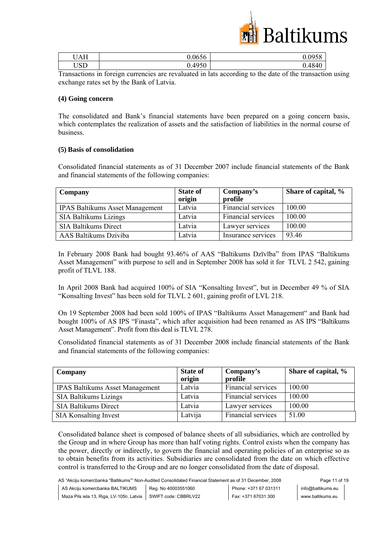

| <b>TTATT</b><br>JAH | 0.0656 | 0058<br>״ |
|---------------------|--------|-----------|
| LICIN<br>്വ         | 0.4950 | 0.4840    |

Transactions in foreign currencies are revaluated in lats according to the date of the transaction using exchange rates set by the Bank of Latvia.

#### **(4) Going concern**

The consolidated and Bank's financial statements have been prepared on a going concern basis, which contemplates the realization of assets and the satisfaction of liabilities in the normal course of business.

#### **(5) Basis of consolidation**

Consolidated financial statements as of 31 December 2007 include financial statements of the Bank and financial statements of the following companies:

| Company                                | <b>State of</b><br>origin | Company's<br>profile | Share of capital, % |
|----------------------------------------|---------------------------|----------------------|---------------------|
| <b>IPAS Baltikums Asset Management</b> | Latvia                    | Financial services   | 100.00              |
| <b>SIA Baltikums Lizings</b>           | Latvia                    | Financial services   | 100.00              |
| <b>SIA Baltikums Direct</b>            | Latvia                    | Lawyer services      | 100.00              |
| AAS Baltikums Dziviba                  | Latvia                    | Insurance services   | 93.46               |

In February 2008 Bank had bought 93.46% of AAS "Baltikums Dzīvība" from IPAS "Baltikums Asset Management" with purpose to sell and in September 2008 has sold it for TLVL 2 542, gaining profit of TLVL 188.

In April 2008 Bank had acquired 100% of SIA "Konsalting Invest", but in December 49 % of SIA "Konsalting Invest" has been sold for TLVL 2 601, gaining profit of LVL 218.

On 19 September 2008 had been sold 100% of IPAS "Baltikums Asset Management" and Bank had bought 100% of AS IPS "Finasta", which after acquisition had been renamed as AS IPS "Baltikums Asset Management". Profit from this deal is TLVL 278.

Consolidated financial statements as of 31 December 2008 include financial statements of the Bank and financial statements of the following companies:

| Company                                | <b>State of</b><br>origin | Company's<br>profile | Share of capital, % |
|----------------------------------------|---------------------------|----------------------|---------------------|
| <b>IPAS Baltikums Asset Management</b> | Latvia                    | Financial services   | 100.00              |
| <b>SIA Baltikums Lizings</b>           | Latvia                    | Financial services   | 100.00              |
| <b>SIA Baltikums Direct</b>            | Latvia                    | Lawyer services      | 100.00              |
| <b>SIA Konsalting Invest</b>           | Latvija                   | Financial services   | 51.00               |

Consolidated balance sheet is composed of balance sheets of all subsidiaries, which are controlled by the Group and in where Group has more than half voting rights. Control exists when the company has the power, directly or indirectly, to govern the financial and operating policies of an enterprise so as to obtain benefits from its activities. Subsidiaries are consolidated from the date on which effective control is transferred to the Group and are no longer consolidated from the date of disposal.

AS "Akciju komercbanka "Baltikums"" Non-Audited Consolidated Financial Statement as of 31 December, 2008 Page 11 of 19 AS Akciju komercbanka BALTIKUMS Maza Pils iela 13, Riga, LV-1050, Latvia SWIFT code: CBBRLV22 Reg. No 40003551060 Phone: +371 67 031311 Fax: +371 67031 300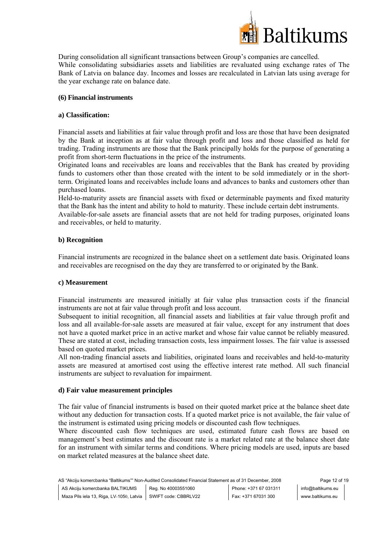

During consolidation all significant transactions between Group's companies are cancelled. While consolidating subsidiaries assets and liabilities are revaluated using exchange rates of The Bank of Latvia on balance day. Incomes and losses are recalculated in Latvian lats using average for the year exchange rate on balance date.

# **(6) Financial instruments**

# **a) Classification:**

Financial assets and liabilities at fair value through profit and loss are those that have been designated by the Bank at inception as at fair value through profit and loss and those classified as held for trading. Trading instruments are those that the Bank principally holds for the purpose of generating a profit from short-term fluctuations in the price of the instruments.

Originated loans and receivables are loans and receivables that the Bank has created by providing funds to customers other than those created with the intent to be sold immediately or in the shortterm. Originated loans and receivables include loans and advances to banks and customers other than purchased loans.

Held-to-maturity assets are financial assets with fixed or determinable payments and fixed maturity that the Bank has the intent and ability to hold to maturity. These include certain debt instruments.

Available-for-sale assets are financial assets that are not held for trading purposes, originated loans and receivables, or held to maturity.

# **b) Recognition**

Financial instruments are recognized in the balance sheet on a settlement date basis. Originated loans and receivables are recognised on the day they are transferred to or originated by the Bank.

# **c) Measurement**

Financial instruments are measured initially at fair value plus transaction costs if the financial instruments are not at fair value through profit and loss account.

Subsequent to initial recognition, all financial assets and liabilities at fair value through profit and loss and all available-for-sale assets are measured at fair value, except for any instrument that does not have a quoted market price in an active market and whose fair value cannot be reliably measured. These are stated at cost, including transaction costs, less impairment losses. The fair value is assessed based on quoted market prices.

All non-trading financial assets and liabilities, originated loans and receivables and held-to-maturity assets are measured at amortised cost using the effective interest rate method. All such financial instruments are subject to revaluation for impairment.

# **d) Fair value measurement principles**

The fair value of financial instruments is based on their quoted market price at the balance sheet date without any deduction for transaction costs. If a quoted market price is not available, the fair value of the instrument is estimated using pricing models or discounted cash flow techniques.

Where discounted cash flow techniques are used, estimated future cash flows are based on management's best estimates and the discount rate is a market related rate at the balance sheet date for an instrument with similar terms and conditions. Where pricing models are used, inputs are based on market related measures at the balance sheet date.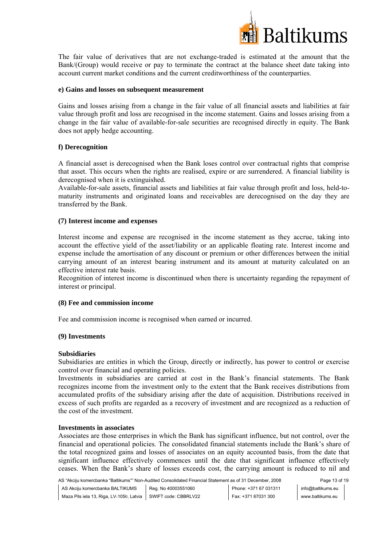

The fair value of derivatives that are not exchange-traded is estimated at the amount that the Bank/(Group) would receive or pay to terminate the contract at the balance sheet date taking into account current market conditions and the current creditworthiness of the counterparties.

## **e) Gains and losses on subsequent measurement**

Gains and losses arising from a change in the fair value of all financial assets and liabilities at fair value through profit and loss are recognised in the income statement. Gains and losses arising from a change in the fair value of available-for-sale securities are recognised directly in equity. The Bank does not apply hedge accounting.

# **f) Derecognition**

A financial asset is derecognised when the Bank loses control over contractual rights that comprise that asset. This occurs when the rights are realised, expire or are surrendered. A financial liability is derecognised when it is extinguished.

Available-for-sale assets, financial assets and liabilities at fair value through profit and loss, held-tomaturity instruments and originated loans and receivables are derecognised on the day they are transferred by the Bank.

## **(7) Interest income and expenses**

Interest income and expense are recognised in the income statement as they accrue, taking into account the effective yield of the asset/liability or an applicable floating rate. Interest income and expense include the amortisation of any discount or premium or other differences between the initial carrying amount of an interest bearing instrument and its amount at maturity calculated on an effective interest rate basis.

Recognition of interest income is discontinued when there is uncertainty regarding the repayment of interest or principal.

# **(8) Fee and commission income**

Fee and commission income is recognised when earned or incurred.

# **(9) Investments**

# **Subsidiaries**

Subsidiaries are entities in which the Group, directly or indirectly, has power to control or exercise control over financial and operating policies.

Investments in subsidiaries are carried at cost in the Bank's financial statements. The Bank recognizes income from the investment only to the extent that the Bank receives distributions from accumulated profits of the subsidiary arising after the date of acquisition. Distributions received in excess of such profits are regarded as a recovery of investment and are recognized as a reduction of the cost of the investment.

#### **Investments in associates**

Associates are those enterprises in which the Bank has significant influence, but not control, over the financial and operational policies. The consolidated financial statements include the Bank's share of the total recognized gains and losses of associates on an equity accounted basis, from the date that significant influence effectively commences until the date that significant influence effectively ceases. When the Bank's share of losses exceeds cost, the carrying amount is reduced to nil and

AS "Akciju komercbanka "Baltikums"" Non-Audited Consolidated Financial Statement as of 31 December, 2008 Page 13 of 19 AS Akciju komercbanka BALTIKUMS Maza Pils iela 13, Riga, LV-1050, Latvia SWIFT code: CBBRLV22 Reg. No 40003551060 Phone: +371 67 031311 Fax: +371 67031 300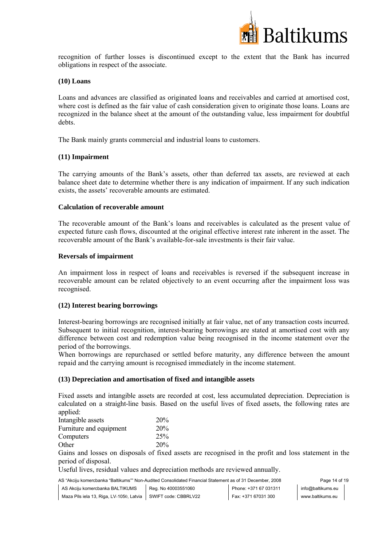

recognition of further losses is discontinued except to the extent that the Bank has incurred obligations in respect of the associate.

## **(10) Loans**

Loans and advances are classified as originated loans and receivables and carried at amortised cost, where cost is defined as the fair value of cash consideration given to originate those loans. Loans are recognized in the balance sheet at the amount of the outstanding value, less impairment for doubtful debts.

The Bank mainly grants commercial and industrial loans to customers.

## **(11) Impairment**

The carrying amounts of the Bank's assets, other than deferred tax assets, are reviewed at each balance sheet date to determine whether there is any indication of impairment. If any such indication exists, the assets' recoverable amounts are estimated.

## **Calculation of recoverable amount**

The recoverable amount of the Bank's loans and receivables is calculated as the present value of expected future cash flows, discounted at the original effective interest rate inherent in the asset. The recoverable amount of the Bank's available-for-sale investments is their fair value.

## **Reversals of impairment**

An impairment loss in respect of loans and receivables is reversed if the subsequent increase in recoverable amount can be related objectively to an event occurring after the impairment loss was recognised.

# **(12) Interest bearing borrowings**

Interest-bearing borrowings are recognised initially at fair value, net of any transaction costs incurred. Subsequent to initial recognition, interest-bearing borrowings are stated at amortised cost with any difference between cost and redemption value being recognised in the income statement over the period of the borrowings.

When borrowings are repurchased or settled before maturity, any difference between the amount repaid and the carrying amount is recognised immediately in the income statement.

#### **(13) Depreciation and amortisation of fixed and intangible assets**

Fixed assets and intangible assets are recorded at cost, less accumulated depreciation. Depreciation is calculated on a straight-line basis. Based on the useful lives of fixed assets, the following rates are applied:

| Intangible assets       | 20% |
|-------------------------|-----|
| Furniture and equipment | 20% |
| Computers               | 25% |
| Other                   | 20% |

Gains and losses on disposals of fixed assets are recognised in the profit and loss statement in the period of disposal.

Useful lives, residual values and depreciation methods are reviewed annually.

AS "Akciju komercbanka "Baltikums"" Non-Audited Consolidated Financial Statement as of 31 December, 2008 Page 14 of 19 AS Akciju komercbanka BALTIKUMS Maza Pils iela 13, Riga, LV-1050, Latvia SWIFT code: CBBRLV22 Reg. No 40003551060 Phone: +371 67 031311 Fax: +371 67031 300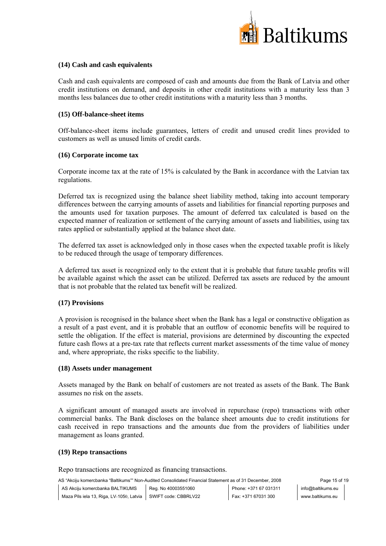

# **(14) Cash and cash equivalents**

Cash and cash equivalents are composed of cash and amounts due from the Bank of Latvia and other credit institutions on demand, and deposits in other credit institutions with a maturity less than 3 months less balances due to other credit institutions with a maturity less than 3 months.

# **(15) Off-balance-sheet items**

Off-balance-sheet items include guarantees, letters of credit and unused credit lines provided to customers as well as unused limits of credit cards.

# **(16) Corporate income tax**

Corporate income tax at the rate of 15% is calculated by the Bank in accordance with the Latvian tax regulations.

Deferred tax is recognized using the balance sheet liability method, taking into account temporary differences between the carrying amounts of assets and liabilities for financial reporting purposes and the amounts used for taxation purposes. The amount of deferred tax calculated is based on the expected manner of realization or settlement of the carrying amount of assets and liabilities, using tax rates applied or substantially applied at the balance sheet date.

The deferred tax asset is acknowledged only in those cases when the expected taxable profit is likely to be reduced through the usage of temporary differences.

A deferred tax asset is recognized only to the extent that it is probable that future taxable profits will be available against which the asset can be utilized. Deferred tax assets are reduced by the amount that is not probable that the related tax benefit will be realized.

# **(17) Provisions**

A provision is recognised in the balance sheet when the Bank has a legal or constructive obligation as a result of a past event, and it is probable that an outflow of economic benefits will be required to settle the obligation. If the effect is material, provisions are determined by discounting the expected future cash flows at a pre-tax rate that reflects current market assessments of the time value of money and, where appropriate, the risks specific to the liability.

# **(18) Assets under management**

Assets managed by the Bank on behalf of customers are not treated as assets of the Bank. The Bank assumes no risk on the assets.

A significant amount of managed assets are involved in repurchase (repo) transactions with other commercial banks. The Bank discloses on the balance sheet amounts due to credit institutions for cash received in repo transactions and the amounts due from the providers of liabilities under management as loans granted.

# **(19) Repo transactions**

Repo transactions are recognized as financing transactions.

AS "Akciju komercbanka "Baltikums"" Non-Audited Consolidated Financial Statement as of 31 December, 2008 Page 15 of 19 AS Akciju komercbanka BALTIKUMS Reg. No 40003551060

Maza Pils iela 13, Riga, LV-1050, Latvia SWIFT code: CBBRLV22

Phone: +371 67 031311 Fax: +371 67031 300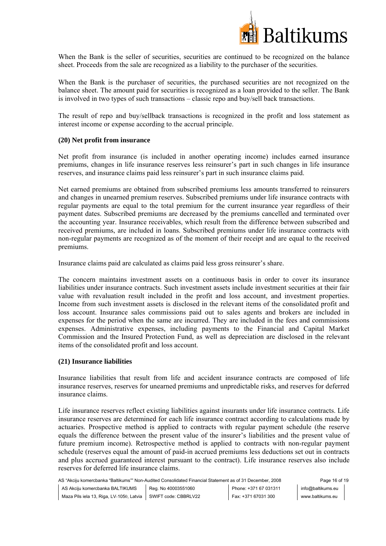

When the Bank is the seller of securities, securities are continued to be recognized on the balance sheet. Proceeds from the sale are recognized as a liability to the purchaser of the securities.

When the Bank is the purchaser of securities, the purchased securities are not recognized on the balance sheet. The amount paid for securities is recognized as a loan provided to the seller. The Bank is involved in two types of such transactions – classic repo and buy/sell back transactions.

The result of repo and buy/sellback transactions is recognized in the profit and loss statement as interest income or expense according to the accrual principle.

## **(20) Net profit from insurance**

Net profit from insurance (is included in another operating income) includes earned insurance premiums, changes in life insurance reserves less reinsurer's part in such changes in life insurance reserves, and insurance claims paid less reinsurer's part in such insurance claims paid.

Net earned premiums are obtained from subscribed premiums less amounts transferred to reinsurers and changes in unearned premium reserves. Subscribed premiums under life insurance contracts with regular payments are equal to the total premium for the current insurance year regardless of their payment dates. Subscribed premiums are decreased by the premiums cancelled and terminated over the accounting year. Insurance receivables, which result from the difference between subscribed and received premiums, are included in loans. Subscribed premiums under life insurance contracts with non-regular payments are recognized as of the moment of their receipt and are equal to the received premiums.

Insurance claims paid are calculated as claims paid less gross reinsurer's share.

The concern maintains investment assets on a continuous basis in order to cover its insurance liabilities under insurance contracts. Such investment assets include investment securities at their fair value with revaluation result included in the profit and loss account, and investment properties. Income from such investment assets is disclosed in the relevant items of the consolidated profit and loss account. Insurance sales commissions paid out to sales agents and brokers are included in expenses for the period when the same are incurred. They are included in the fees and commissions expenses. Administrative expenses, including payments to the Financial and Capital Market Commission and the Insured Protection Fund, as well as depreciation are disclosed in the relevant items of the consolidated profit and loss account.

# **(21) Insurance liabilities**

Insurance liabilities that result from life and accident insurance contracts are composed of life insurance reserves, reserves for unearned premiums and unpredictable risks, and reserves for deferred insurance claims.

Life insurance reserves reflect existing liabilities against insurants under life insurance contracts. Life insurance reserves are determined for each life insurance contract according to calculations made by actuaries. Prospective method is applied to contracts with regular payment schedule (the reserve equals the difference between the present value of the insurer's liabilities and the present value of future premium income). Retrospective method is applied to contracts with non-regular payment schedule (reserves equal the amount of paid-in accrued premiums less deductions set out in contracts and plus accrued guaranteed interest pursuant to the contract). Life insurance reserves also include reserves for deferred life insurance claims.

AS "Akciju komercbanka "Baltikums"" Non-Audited Consolidated Financial Statement as of 31 December, 2008 Page 16 of 19 AS Akciju komercbanka BALTIKUMS Maza Pils iela 13, Riga, LV-1050, Latvia SWIFT code: CBBRLV22 Reg. No 40003551060 Phone: +371 67 031311 Fax: +371 67031 300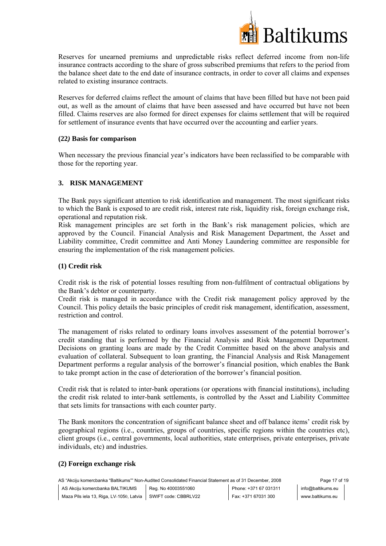

Reserves for unearned premiums and unpredictable risks reflect deferred income from non-life insurance contracts according to the share of gross subscribed premiums that refers to the period from the balance sheet date to the end date of insurance contracts, in order to cover all claims and expenses related to existing insurance contracts.

Reserves for deferred claims reflect the amount of claims that have been filled but have not been paid out, as well as the amount of claims that have been assessed and have occurred but have not been filled. Claims reserves are also formed for direct expenses for claims settlement that will be required for settlement of insurance events that have occurred over the accounting and earlier years.

# **(22***)* **Basis for comparison**

When necessary the previous financial year's indicators have been reclassified to be comparable with those for the reporting year.

# **3. RISK MANAGEMENT**

The Bank pays significant attention to risk identification and management. The most significant risks to which the Bank is exposed to are credit risk, interest rate risk, liquidity risk, foreign exchange risk, operational and reputation risk.

Risk management principles are set forth in the Bank's risk management policies, which are approved by the Council. Financial Analysis and Risk Management Department, the Asset and Liability committee, Credit committee and Anti Money Laundering committee are responsible for ensuring the implementation of the risk management policies.

## **(1) Credit risk**

Credit risk is the risk of potential losses resulting from non-fulfilment of contractual obligations by the Bank's debtor or counterparty.

Credit risk is managed in accordance with the Credit risk management policy approved by the Council. This policy details the basic principles of credit risk management, identification, assessment, restriction and control.

The management of risks related to ordinary loans involves assessment of the potential borrower's credit standing that is performed by the Financial Analysis and Risk Management Department. Decisions on granting loans are made by the Credit Committee based on the above analysis and evaluation of collateral. Subsequent to loan granting, the Financial Analysis and Risk Management Department performs a regular analysis of the borrower's financial position, which enables the Bank to take prompt action in the case of deterioration of the borrower's financial position.

Credit risk that is related to inter-bank operations (or operations with financial institutions), including the credit risk related to inter-bank settlements, is controlled by the Asset and Liability Committee that sets limits for transactions with each counter party.

The Bank monitors the concentration of significant balance sheet and off balance items' credit risk by geographical regions (i.e., countries, groups of countries, specific regions within the countries etc), client groups (i.e., central governments, local authorities, state enterprises, private enterprises, private individuals, etc) and industries.

# **(2) Foreign exchange risk**

AS "Akciju komercbanka "Baltikums"" Non-Audited Consolidated Financial Statement as of 31 December, 2008 Page 17 of 19 AS Akciju komercbanka BALTIKUMS Maza Pils iela 13, Riga, LV-1050, Latvia SWIFT code: CBBRLV22 Reg. No 40003551060 Phone: +371 67 031311 Fax: +371 67031 300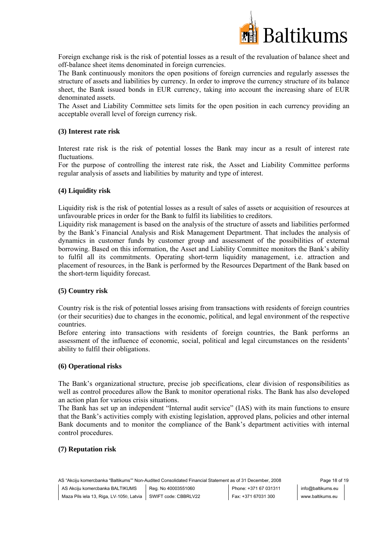

Foreign exchange risk is the risk of potential losses as a result of the revaluation of balance sheet and off-balance sheet items denominated in foreign currencies.

The Bank continuously monitors the open positions of foreign currencies and regularly assesses the structure of assets and liabilities by currency. In order to improve the currency structure of its balance sheet, the Bank issued bonds in EUR currency, taking into account the increasing share of EUR denominated assets.

The Asset and Liability Committee sets limits for the open position in each currency providing an acceptable overall level of foreign currency risk.

## **(3) Interest rate risk**

Interest rate risk is the risk of potential losses the Bank may incur as a result of interest rate fluctuations.

For the purpose of controlling the interest rate risk, the Asset and Liability Committee performs regular analysis of assets and liabilities by maturity and type of interest.

#### **(4) Liquidity risk**

Liquidity risk is the risk of potential losses as a result of sales of assets or acquisition of resources at unfavourable prices in order for the Bank to fulfil its liabilities to creditors.

Liquidity risk management is based on the analysis of the structure of assets and liabilities performed by the Bank's Financial Analysis and Risk Management Department. That includes the analysis of dynamics in customer funds by customer group and assessment of the possibilities of external borrowing. Based on this information, the Asset and Liability Committee monitors the Bank's ability to fulfil all its commitments. Operating short-term liquidity management, i.e. attraction and placement of resources, in the Bank is performed by the Resources Department of the Bank based on the short-term liquidity forecast.

#### **(5) Country risk**

Country risk is the risk of potential losses arising from transactions with residents of foreign countries (or their securities) due to changes in the economic, political, and legal environment of the respective countries.

Before entering into transactions with residents of foreign countries, the Bank performs an assessment of the influence of economic, social, political and legal circumstances on the residents' ability to fulfil their obligations.

#### **(6) Operational risks**

The Bank's organizational structure, precise job specifications, clear division of responsibilities as well as control procedures allow the Bank to monitor operational risks. The Bank has also developed an action plan for various crisis situations.

The Bank has set up an independent "Internal audit service" (IAS) with its main functions to ensure that the Bank's activities comply with existing legislation, approved plans, policies and other internal Bank documents and to monitor the compliance of the Bank's department activities with internal control procedures.

#### **(7) Reputation risk**

AS "Akciju komercbanka "Baltikums"" Non-Audited Consolidated Financial Statement as of 31 December, 2008 Page 18 of 19 AS Akciju komercbanka BALTIKUMS Maza Pils iela 13, Riga, LV-1050, Latvia SWIFT code: CBBRLV22 Reg. No 40003551060 Phone: +371 67 031311 Fax: +371 67031 300